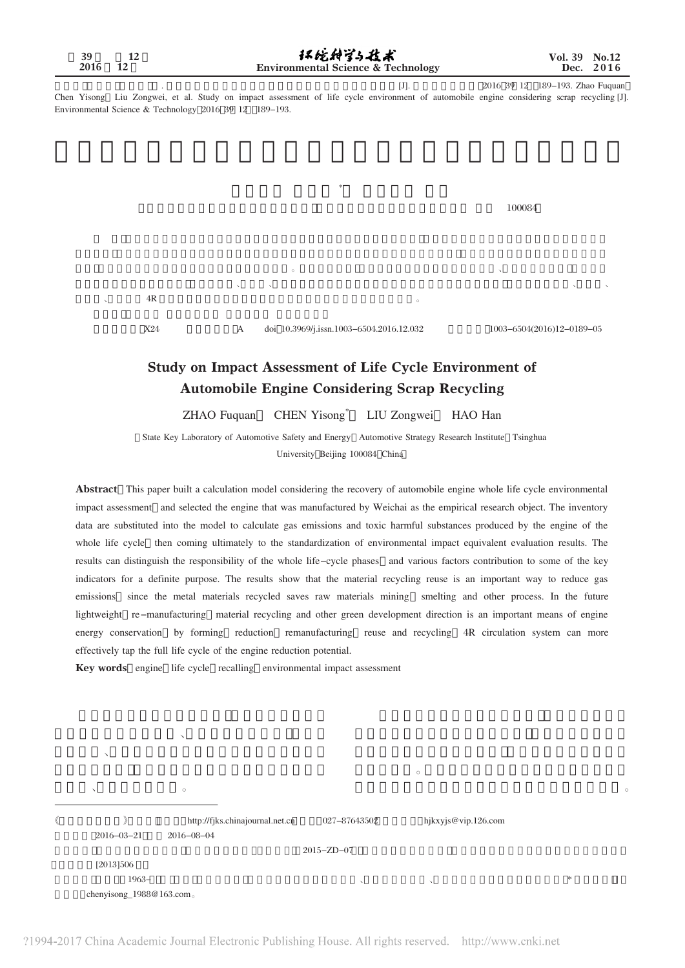[J]. 2016 39 12 189-193. Zhao Fuquan Chen Yisong Liu Zongwei, et al. Study on impact assessment of life cycle environment of automobile engine considering scrap recycling [J]. Environmental Science & Technology 2016 39 12 189-193.

, 刘宗巍, 郝瀚

 $\mathcal{R}$ 

 $\sim$  4R  $\frac{4R}{\pi}$ 

 $100084$ 

X24 A doi 10.3969/j.issn.1003-6504.2016.12.032 1003-6504(2016)12-0189-05

责任,综合各种因素对一些主要贡献指标做到有的放矢。研究结果表明,材料回收再利用省去了原材料开采、冶炼等诸多环节,可有效降 低发动机对生态环境的影响;未来轻量化、再制造、材料再循环等绿色技术路径是发动机节能减排的重要手段,通过形成减量化、再制造、

## Study on Impact Assessment of Life Cycle Environment of Automobile Engine Considering Scrap Recycling

ZHAO Fuquan CHEN Yisong\* LIU Zongwei HAO Han

State Key Laboratory of Automotive Safety and Energy Automotive Strategy Research Institute Tsinghua University Beijing 100084 China

Abstract This paper built a calculation model considering the recovery of automobile engine whole life cycle environmental impact assessment and selected the engine that was manufactured by Weichai as the empirical research object. The inventory data are substituted into the model to calculate gas emissions and toxic harmful substances produced by the engine of the whole life cycle then coming ultimately to the standardization of environmental impact equivalent evaluation results. The results can distinguish the responsibility of the whole life-cycle phases and various factors contribution to some of the key indicators for a definite purpose. The results show that the material recycling reuse is an important way to reduce gas emissions since the metal materials recycled saves raw materials mining smelting and other process. In the future lightweight re -manufacturing material recycling and other green development direction is an important means of engine energy conservation by forming reduction remanufacturing reuse and recycling 4R circulation system can more effectively tap the full life cycle of the engine reduction potential.

Key words engine life cycle recalling environmental impact assessment

 $\mathcal{N}=\mathcal{N}=\mathcal{N}=\mathcal{N}=\mathcal{N}=\mathcal{N}=\mathcal{N}=\mathcal{N}=\mathcal{N}=\mathcal{N}=\mathcal{N}=\mathcal{N}=\mathcal{N}=\mathcal{N}=\mathcal{N}=\mathcal{N}=\mathcal{N}=\mathcal{N}=\mathcal{N}=\mathcal{N}=\mathcal{N}=\mathcal{N}=\mathcal{N}=\mathcal{N}=\mathcal{N}=\mathcal{N}=\mathcal{N}=\mathcal{N}=\mathcal{N}=\mathcal{N}=\mathcal{N}=\mathcal{N}=\mathcal{N}=\mathcal{N}=\mathcal{N}=\mathcal{N}=\mathcal{$  $\mathbb{E}[\mathbf{X}^{(n)}]$ 

|                          |                                 |                  | $\circ$             |         |
|--------------------------|---------------------------------|------------------|---------------------|---------|
|                          | $\circ$                         |                  |                     | $\circ$ |
|                          | http://fjks.chinajournal.net.cn | 027-87643502     | hjkxyjs@vip.126.com |         |
| $2016 - 03 - 21$         | $2016 - 08 - 04$                |                  |                     |         |
|                          |                                 | $2015 - ZD - 07$ |                     |         |
| [2013]506                |                                 |                  |                     |         |
| $1963-$                  |                                 | $\lambda$        | $\checkmark$        | $*$     |
| chenyisong_1988@163.com. |                                 |                  |                     |         |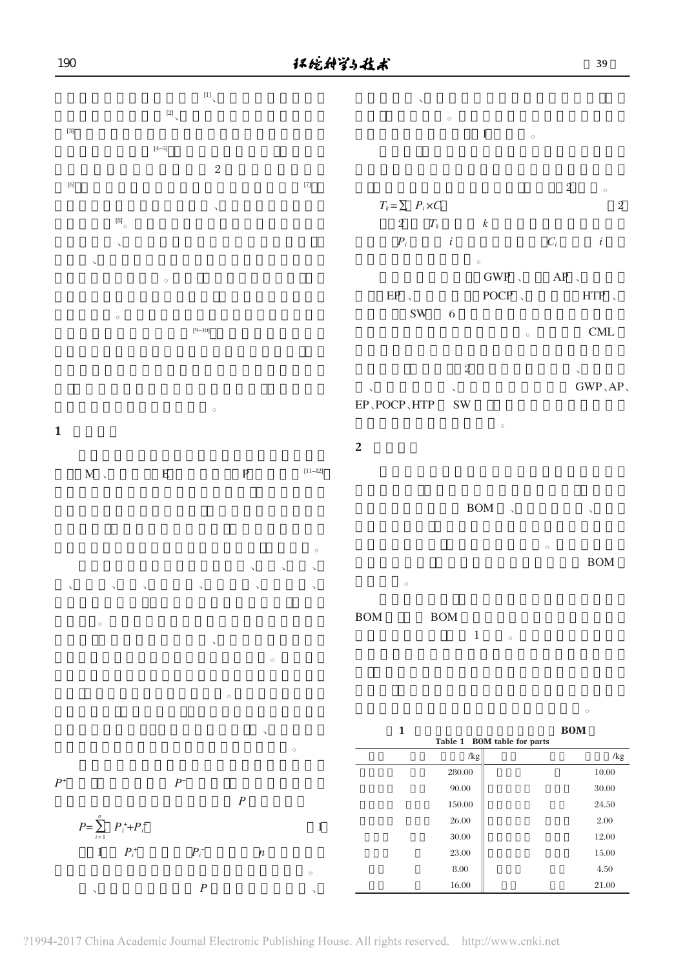

 $\sim$  $\mathbf 1$ EP、POCP、HTP SW







 $\mathbb{P}$  and  $\mathbb{P}$ 











|        | $\circ$                                   |
|--------|-------------------------------------------|
| 1      | <b>BOM</b><br>Table 1 BOM table for parts |
| /kg    | /kg                                       |
| 280.00 | 10.00                                     |
| 90.00  | 30.00                                     |
| 150.00 | 24.50                                     |
| 26.00  | 2.00                                      |
| 30.00  | 12.00                                     |
| 23.00  | 15.00                                     |
| 8.00   | 4.50                                      |
| 16.00  | 21.00                                     |

190

 $GWP, AP$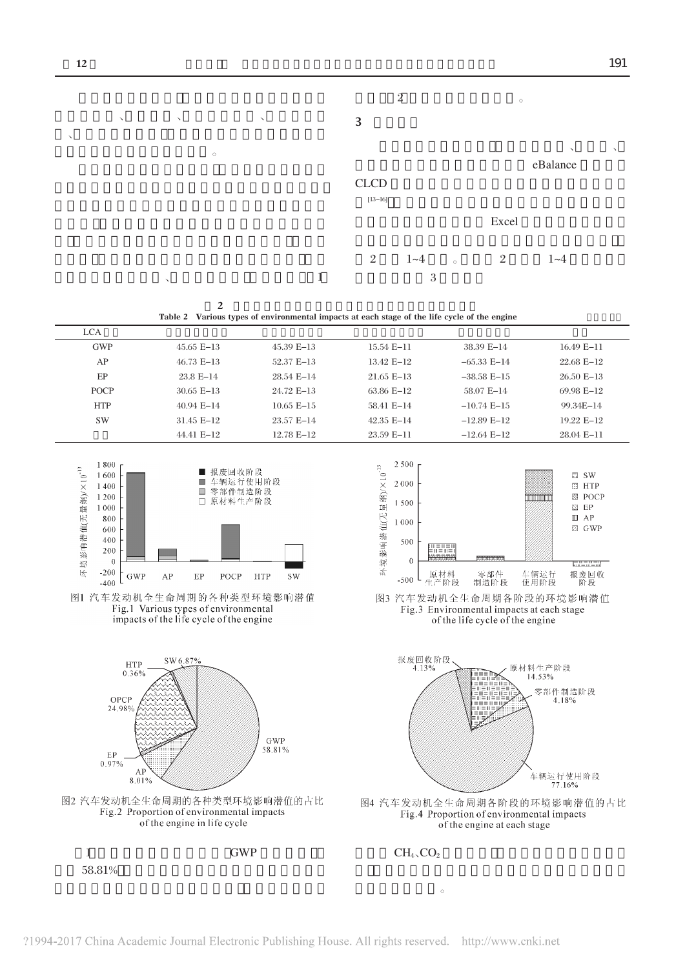

 $2$ Table 2 Various types of environmental impacts at each stage of the life cycle of the engine

| <b>LCA</b>                                                                                                                                   |                                                                                                                                                                                               |                         |                                                                                |                                                                                                                                                                     |                                                                                                                                |
|----------------------------------------------------------------------------------------------------------------------------------------------|-----------------------------------------------------------------------------------------------------------------------------------------------------------------------------------------------|-------------------------|--------------------------------------------------------------------------------|---------------------------------------------------------------------------------------------------------------------------------------------------------------------|--------------------------------------------------------------------------------------------------------------------------------|
| <b>GWP</b>                                                                                                                                   | 45.65 E-13                                                                                                                                                                                    | 45.39 E-13              | 15.54 E-11                                                                     | 38.39 E-14                                                                                                                                                          | $16.49 E-11$                                                                                                                   |
| AP                                                                                                                                           | $46.73 E-13$                                                                                                                                                                                  | 52.37 E-13              | 13.42 E-12                                                                     | $-65.33 E-14$                                                                                                                                                       | 22.68 E-12                                                                                                                     |
| EP                                                                                                                                           | 23.8 E-14                                                                                                                                                                                     | 28.54 E-14              | $21.65 E-13$                                                                   | $-38.58 E-15$                                                                                                                                                       | $26.50 E-13$                                                                                                                   |
| <b>POCP</b>                                                                                                                                  | $30.65 E-13$                                                                                                                                                                                  | 24.72 E-13              | 63.86 E-12                                                                     | 58.07 E-14                                                                                                                                                          | 69.98 E-12                                                                                                                     |
| <b>HTP</b>                                                                                                                                   | 40.94 E-14                                                                                                                                                                                    | $10.65 E-15$            | 58.41 E-14                                                                     | $-10.74 E-15$                                                                                                                                                       | 99.34E-14                                                                                                                      |
| <b>SW</b>                                                                                                                                    | 31.45 E-12                                                                                                                                                                                    | 23.57 E-14              | 42.35 E-14                                                                     | $-12.89 E-12$                                                                                                                                                       | 19.22 E-12                                                                                                                     |
|                                                                                                                                              | 44.41 E-12                                                                                                                                                                                    | 12.78 E-12              | 23.59 E-11                                                                     | $-12.64$ E $-12$                                                                                                                                                    | 28.04 E-11                                                                                                                     |
| 1800<br>不境影响潜值(无量纳)/×10 <sup>-13</sup><br>1600<br>1400<br>1 2 0 0<br>1000<br>800<br>600<br>400<br>200<br>$\theta$<br>$-200$<br>GWP<br>$-400$ | ■ 报废回收阶段<br>车辆运行使用阶段<br><b>COL</b><br>零部件制造阶段<br>□ 原材料生产阶段<br>AP<br>EP<br>POCP<br>图1 汽车发动机全生命周期的各种类型环境影响潜值<br>Fig.1 Various types of environmental<br>impacts of the life cycle of the engine | <b>HTP</b><br><b>SW</b> | 2500<br>环境影响潜仙(无量纲)/×1013<br>2000<br>1500<br>1000<br>500<br>$\theta$<br>$-500$ | <b>ENTERN</b><br>$m = m =$<br>零部件<br>原材料<br>生产阶段<br>制造阶段<br>图3 汽车发动机全生命周期各阶段的环境影响潜值<br>Fig.3 Environmental impacts at each stage<br>of the life cycle of the engine | $\square$ SW<br>$\Xi$ HTP<br>⊠ POCP<br>$\boxtimes$ EP<br>$\mathbb{I}$ AP<br>Z GWP<br>F - - - - -<br>报废回收<br>车辆运行<br>使用阶段<br>阶段 |
| <b>HTP</b><br>0.36%<br>OPCP<br>24.98%                                                                                                        | SW 6.87%                                                                                                                                                                                      | <b>GWP</b><br>58.81%    | 报废回收阶段<br>4.13%                                                                | EILET<br>$\mathbf{m} = \mathbf{m} = 0$<br>$\equiv 11 \equiv 11 \equiv 111$<br>M E II E III E III<br>$\equiv$ III $\equiv$                                           | 原材料生产阶段<br>14.53%<br>零部件制造阶段<br>4.18%                                                                                          |



 $1$  GWP  $58.81%$ 

 $AP$ 

 $8.01%$ 

 $EP_{0.97\%}$ 

 $CH<sub>4</sub>$ ,  $CO<sub>2</sub>$ 

、<br>车辆运行使用阶段<br>77.16%

图4 汽车发动机全生命周期各阶段的环境影响潜值的占比

Fig.4 Proportion of environmental impacts

of the engine at each stage

生态环境的影响。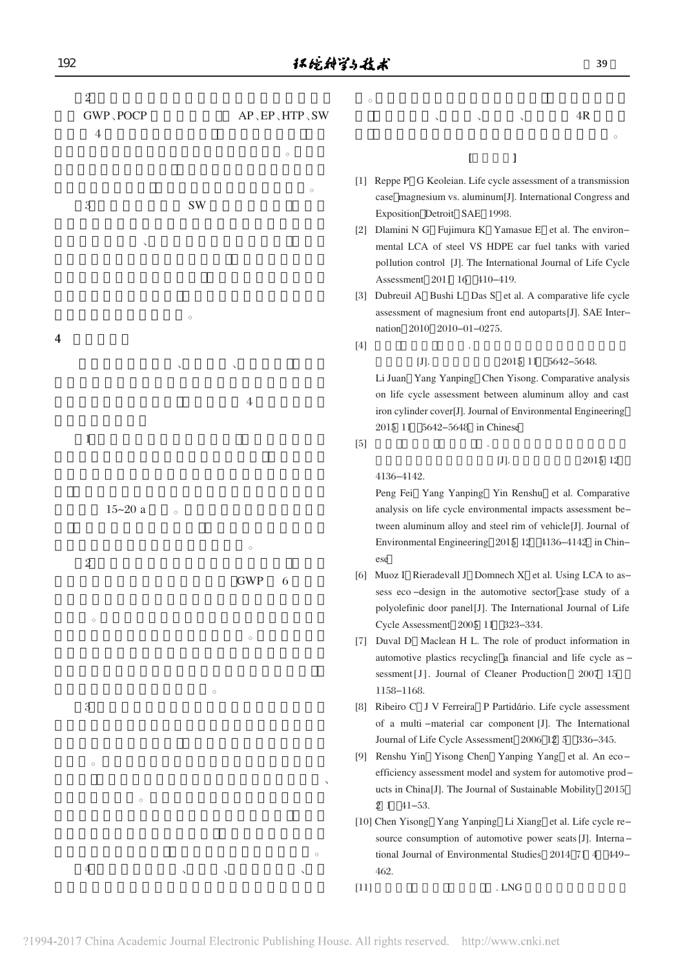GWP、POCP AP、EP、HTP、SW

 $\overline{O}$  $\sim$ 

 $3$ 

 $\overline{O}$  $\mathcal{N}$  $\Theta$ 

 $\mathcal{L}$ 

 $4$ 

 $\mathbb{R}^n$  , we have seen a set of  $\mathbb{R}^n$ 

|   | 4              |              |                    |                |                                                              | $\circ$                                                                                                                                                                                                             |
|---|----------------|--------------|--------------------|----------------|--------------------------------------------------------------|---------------------------------------------------------------------------------------------------------------------------------------------------------------------------------------------------------------------|
|   |                |              |                    |                | $\circ$                                                      | L<br>J                                                                                                                                                                                                              |
|   | 3              |              | <b>SW</b>          |                | $\circ$                                                      | [1] Reppe P G Keoleian. Life cycle assessment of a transmission<br>case magnesium vs. aluminum[J]. International Congress and<br>Exposition Detroit SAE 1998.                                                       |
|   |                | $\checkmark$ |                    |                |                                                              | [2] Dlamini N G Fujimura K Yamasue E et al. The environ-<br>mental LCA of steel VS HDPE car fuel tanks with varied<br>pollution control [J]. The International Journal of Life Cycle<br>Assessment 2011 16 410-419. |
|   |                |              | $\circ$            |                |                                                              | [3] Dubreuil A Bushi L Das S et al. A comparative life cycle<br>assessment of magnesium front end autoparts[J]. SAE Inter-<br>nation 2010 2010-01-0275.                                                             |
| 4 |                |              |                    |                |                                                              | $[4]$                                                                                                                                                                                                               |
|   |                |              |                    |                |                                                              | $[J]$ .<br>2015 11 5642-5648.<br>Li Juan Yang Yanping Chen Yisong. Comparative analysis                                                                                                                             |
|   |                |              |                    | $\overline{4}$ |                                                              | on life cycle assessment between aluminum alloy and cast<br>iron cylinder cover[J]. Journal of Environmental Engineering<br>2015 11 5642-5648. in Chinese                                                           |
|   | 1              |              |                    |                |                                                              | [5]                                                                                                                                                                                                                 |
|   |                |              | $\circ$<br>$\circ$ |                |                                                              | $[J].$<br>2015 12<br>4136-4142.                                                                                                                                                                                     |
|   |                | $15 - 20$ a  |                    |                |                                                              | Peng Fei Yang Yanping Yin Renshu et al. Comparative<br>analysis on life cycle environmental impacts assessment be-<br>tween aluminum alloy and steel rim of vehicle[J]. Journal of                                  |
|   |                |              |                    |                | Environmental Engineering 2015 12 4136-4142. in Chin-<br>ese |                                                                                                                                                                                                                     |
|   | $\overline{2}$ |              |                    | <b>GWP</b>     | 6                                                            | [6] Muoz I Rieradevall J Domnech X et al. Using LCA to as-<br>sess eco-design in the automotive sector case study of a                                                                                              |

otive sector case study of a polyolefinic door panel[J]. The International Journal of Life Cycle Assessment 2005 11 323-334. [7] Duval D Maclean H L. The role of product information in

 $\alpha$ , and  $\sim$  and  $\sim$  and  $\sim$  4R

- automotive plastics recycling a financial and life cycle as sessment [J]. Journal of Cleaner Production 2007 15 1158-1168.
- [8] Ribeiro C J V Ferreira P Partidário. Life cycle assessment of a multi -material car component [J]. The International Journal of Life Cycle Assessment 2006 12 5 336-345.
- [9] Renshu Yin Yisong Chen Yanping Yang et al. An eco efficiency assessment model and system for automotive prod ucts in China[J]. The Journal of Sustainable Mobility 2015 2 1):41-53.
- [10] Chen Yisong Yang Yanping Li Xiang et al. Life cycle re source consumption of automotive power seats [J]. Interna tional Journal of Environmental Studies 2014 71 4 449-462.
- $[11]$  . LNG